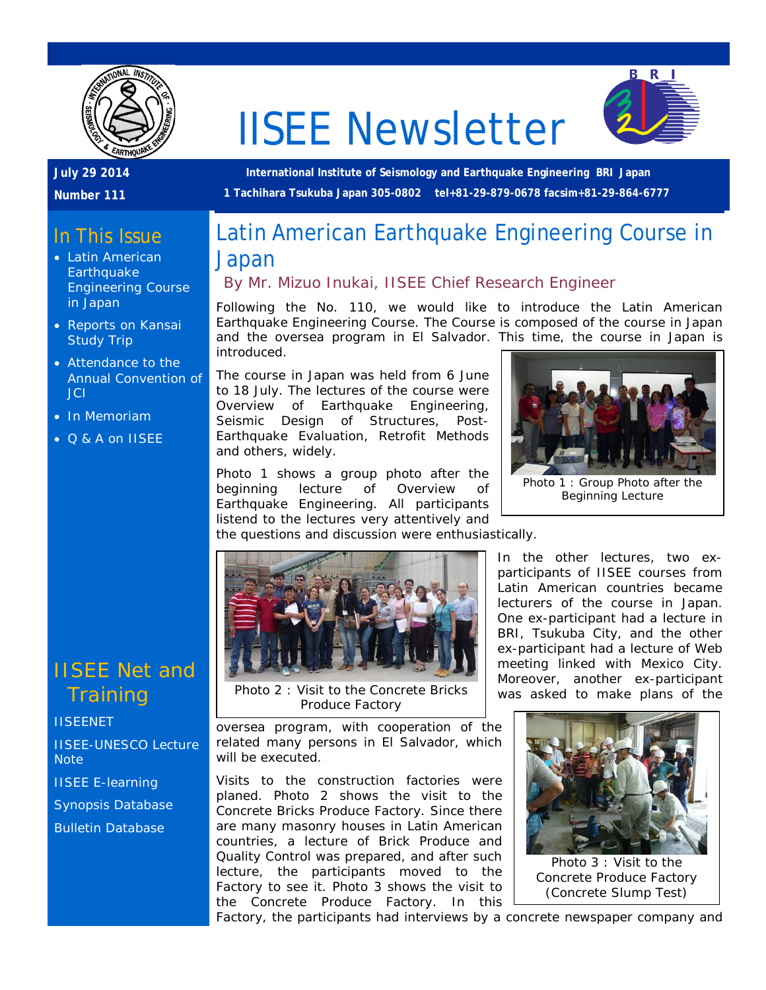

# IISEE Newsletter



### **July 29 2014**

**Number 111**

**International Institute of Seismology and Earthquake Engineering BRI Japan 1 Tachihara Tsukuba Japan 305-0802 tel+81-29-879-0678 facsim+81-29-864-6777**

# In This Issue

- Latin American **Earthquake** Engineering Course in Japan
- Reports on Kansai Study Trip
- Attendance to the Annual Convention of JCI
- In Memoriam
- Q & A on IISEE

## IISEE Net and **Training**

#### **[IISEENET](http://iisee.kenken.go.jp/net/)**

[IISEE-UNESCO Lecture](http://iisee/lna/)  **[Note](http://iisee/lna/)** 

- [IISEE E-learning](http://iisee/el/)
- [Synopsis Database](http://iisee/syndb/)

[Bulletin Database](http://iisee/bltndb/)

# Latin American Earthquake Engineering Course in Japan

## *By Mr. Mizuo Inukai, IISEE Chief Research Engineer*

Following the No. 110, we would like to introduce the Latin American Earthquake Engineering Course. The Course is composed of the course in Japan and the oversea program in El Salvador. This time, the course in Japan is introduced.

The course in Japan was held from 6 June to 18 July. The lectures of the course were Overview of Earthquake Engineering, Seismic Design of Structures, Post-Earthquake Evaluation, Retrofit Methods and others, widely.

Photo 1 shows a group photo after the beginning lecture of Overview of Earthquake Engineering. All participants listend to the lectures very attentively and



Photo 2 : Visit to the Concrete Bricks Produce Factory

oversea program, with cooperation of the related many persons in El Salvador, which will be executed.

Visits to the construction factories were planed. Photo 2 shows the visit to the Concrete Bricks Produce Factory. Since there are many masonry houses in Latin American countries, a lecture of Brick Produce and Quality Control was prepared, and after such lecture, the participants moved to the Factory to see it. Photo 3 shows the visit to the Concrete Produce Factory. In this

Photo 1 : Group Photo after the

Beginning Lecture

In the other lectures, two exparticipants of IISEE courses from Latin American countries became lecturers of the course in Japan. One ex-participant had a lecture in BRI, Tsukuba City, and the other ex-participant had a lecture of Web meeting linked with Mexico City. Moreover, another ex-participant was asked to make plans of the



Photo 3 : Visit to the Concrete Produce Factory (Concrete Slump Test)

Factory, the participants had interviews by a concrete newspaper company and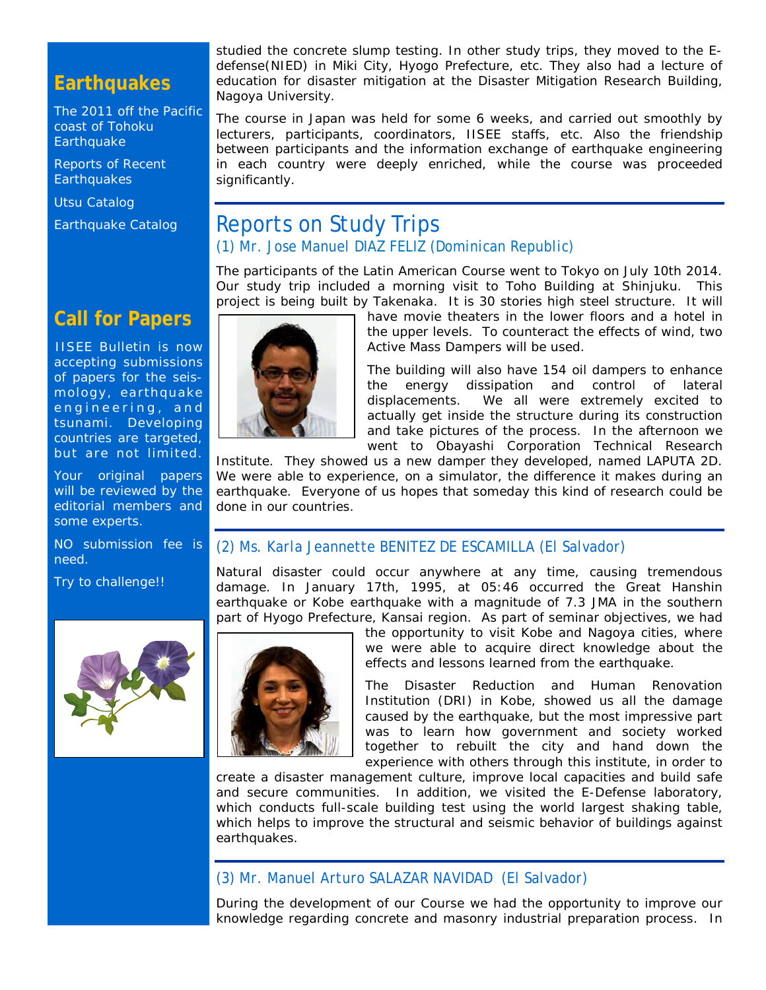## **Earthquakes**

[The 2011 off the Pacific](http://iisee/special2/20110311tohoku.htm)  [coast of Tohoku](http://iisee/special2/20110311tohoku.htm)  **[Earthquake](http://iisee/special2/20110311tohoku.htm)** 

[Reports of Recent](http://iisee/quakes.htm)  **[Earthquakes](http://iisee/quakes.htm)** 

[Utsu Catalog](http://iisee/utsu/index_eng.html)

[Earthquake Catalog](http://iisee/eqcat/Top_page_en.htm)

studied the concrete slump testing. In other study trips, they moved to the Edefense(NIED) in Miki City, Hyogo Prefecture, etc. They also had a lecture of education for disaster mitigation at the Disaster Mitigation Research Building, Nagoya University.

The course in Japan was held for some 6 weeks, and carried out smoothly by lecturers, participants, coordinators, IISEE staffs, etc. Also the friendship between participants and the information exchange of earthquake engineering in each country were deeply enriched, while the course was proceeded significantly.

## Reports on Study Trips *(1) Mr. Jose Manuel DIAZ FELIZ (Dominican Republic)*

The participants of the Latin American Course went to Tokyo on July 10th 2014. Our study trip included a morning visit to Toho Building at Shinjuku. This project is being built by Takenaka. It is 30 stories high steel structure. It will



have movie theaters in the lower floors and a hotel in the upper levels. To counteract the effects of wind, two Active Mass Dampers will be used.

The building will also have 154 oil dampers to enhance the energy dissipation and control of lateral displacements. We all were extremely excited to actually get inside the structure during its construction and take pictures of the process. In the afternoon we went to Obayashi Corporation Technical Research

Institute. They showed us a new damper they developed, named LAPUTA 2D. We were able to experience, on a simulator, the difference it makes during an earthquake. Everyone of us hopes that someday this kind of research could be done in our countries.

#### *(2) Ms. Karla Jeannette BENITEZ DE ESCAMILLA (El Salvador)*

Natural disaster could occur anywhere at any time, causing tremendous damage. In January 17th, 1995, at 05:46 occurred the Great Hanshin earthquake or Kobe earthquake with a magnitude of 7.3 JMA in the southern part of Hyogo Prefecture, Kansai region. As part of seminar objectives, we had



the opportunity to visit Kobe and Nagoya cities, where we were able to acquire direct knowledge about the effects and lessons learned from the earthquake.

The Disaster Reduction and Human Renovation Institution (DRI) in Kobe, showed us all the damage caused by the earthquake, but the most impressive part was to learn how government and society worked together to rebuilt the city and hand down the experience with others through this institute, in order to

create a disaster management culture, improve local capacities and build safe and secure communities. In addition, we visited the E-Defense laboratory, which conducts full-scale building test using the world largest shaking table, which helps to improve the structural and seismic behavior of buildings against earthquakes.

#### *(3) Mr. Manuel Arturo SALAZAR NAVIDAD (El Salvador)*

During the development of our Course we had the opportunity to improve our knowledge regarding concrete and masonry industrial preparation process. In

## **Call for Papers**

IISEE Bulletin is now accepting submissions of papers for the seismology, earthquake engineering, and tsunami. Developing countries are targeted, but are not limited.

Your original papers will be reviewed by the editorial members and some experts.

NO submission fee is need.

Try to challenge!!

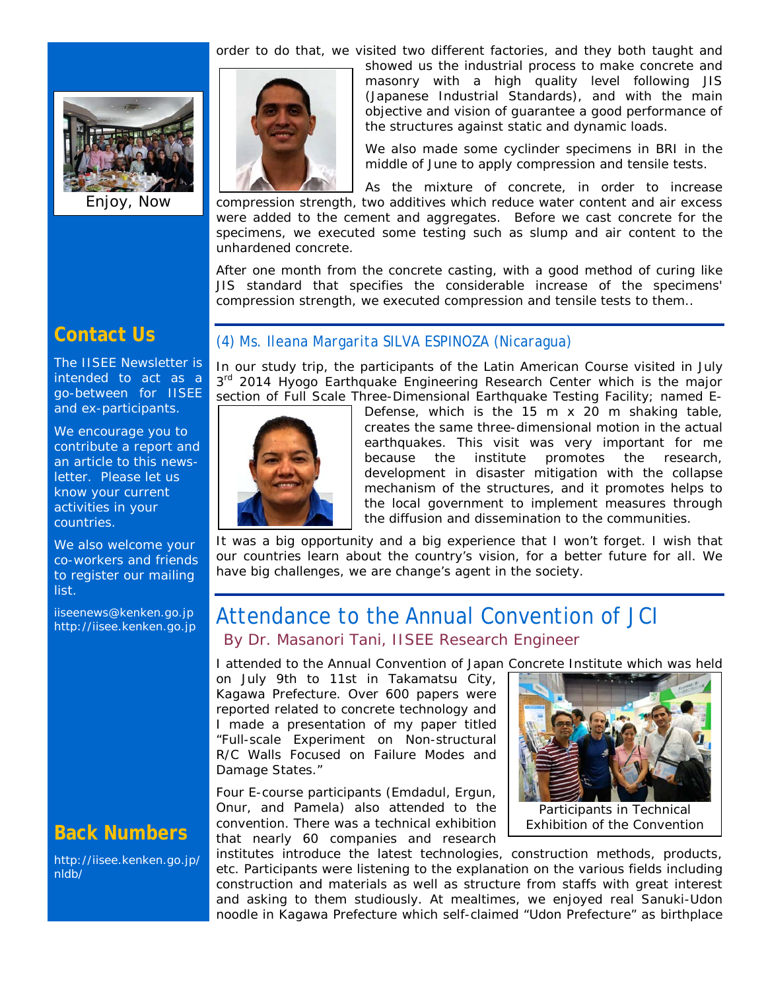

Enjoy, Now

order to do that, we visited two different factories, and they both taught and



showed us the industrial process to make concrete and masonry with a high quality level following JIS (Japanese Industrial Standards), and with the main objective and vision of guarantee a good performance of the structures against static and dynamic loads.

We also made some cyclinder specimens in BRI in the middle of June to apply compression and tensile tests.

As the mixture of concrete, in order to increase compression strength, two additives which reduce water content and air excess were added to the cement and aggregates. Before we cast concrete for the specimens, we executed some testing such as slump and air content to the unhardened concrete.

After one month from the concrete casting, with a good method of curing like JIS standard that specifies the considerable increase of the specimens' compression strength, we executed compression and tensile tests to them..

## **Contact Us**

The IISEE Newsletter is intended to act as a go-between for IISEE and ex-participants.

We encourage you to contribute a report and an article to this newsletter. Please let us know your current activities in your countries.

We also welcome your co-workers and friends to register our mailing list.

iiseenews@kenken.go.jp [http://iisee.kenken.go.jp](http://iisee.kenken.go.jp/)

## **Back Numbers**

[http://iisee.kenken.go.jp/](http://iisee.kenken.go.jp/nldb/) [nldb/](http://iisee.kenken.go.jp/nldb/)

#### *(4) Ms. Ileana Margarita SILVA ESPINOZA (Nicaragua)*

In our study trip, the participants of the Latin American Course visited in July  $3<sup>rd</sup>$  2014 Hyogo Earthquake Engineering Research Center which is the major section of Full Scale Three-Dimensional Earthquake Testing Facility; named E-



Defense, which is the 15 m x 20 m shaking table, creates the same three-dimensional motion in the actual earthquakes. This visit was very important for me because the institute promotes the research, development in disaster mitigation with the collapse mechanism of the structures, and it promotes helps to the local government to implement measures through the diffusion and dissemination to the communities.

It was a big opportunity and a big experience that I won't forget. I wish that our countries learn about the country's vision, for a better future for all. We have big challenges, we are change's agent in the society.

## Attendance to the Annual Convention of JCI *By Dr. Masanori Tani, IISEE Research Engineer*

I attended to the Annual Convention of Japan Concrete Institute which was held

on July 9th to 11st in Takamatsu City, Kagawa Prefecture. Over 600 papers were reported related to concrete technology and I made a presentation of my paper titled "Full-scale Experiment on Non-structural R/C Walls Focused on Failure Modes and Damage States."

Four E-course participants (Emdadul, Ergun, Onur, and Pamela) also attended to the convention. There was a technical exhibition that nearly 60 companies and research



Participants in Technical Exhibition of the Convention

institutes introduce the latest technologies, construction methods, products, etc. Participants were listening to the explanation on the various fields including construction and materials as well as structure from staffs with great interest and asking to them studiously. At mealtimes, we enjoyed real Sanuki-Udon noodle in Kagawa Prefecture which self-claimed "Udon Prefecture" as birthplace